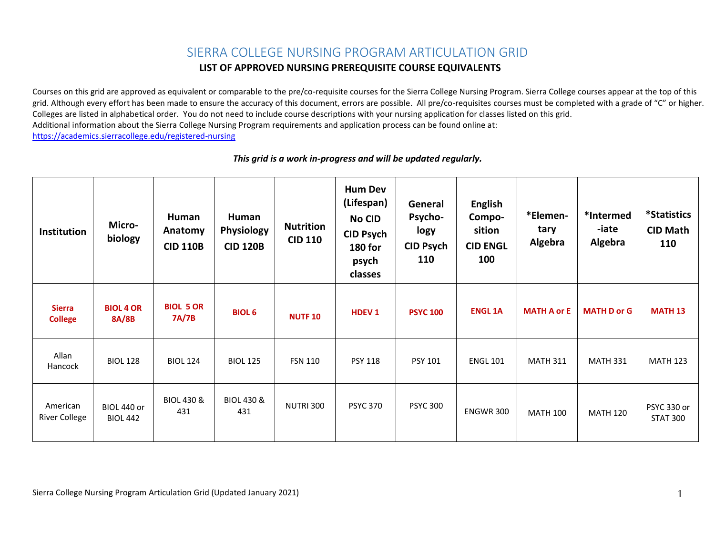## SIERRA COLLEGE NURSING PROGRAM ARTICULATION GRID

## **LIST OF APPROVED NURSING PREREQUISITE COURSE EQUIVALENTS**

 Colleges are listed in alphabetical order. You do not need to include course descriptions with your nursing application for classes listed on this grid. Additional information about the Sierra College Nursing Program requirements and application process can be found online at: Courses on this grid are approved as equivalent or comparable to the pre/co-requisite courses for the Sierra College Nursing Program. Sierra College courses appear at the top of this grid. Although every effort has been made to ensure the accuracy of this document, errors are possible. All pre/co-requisites courses must be completed with a grade of "C" or higher. <https://academics.sierracollege.edu/registered-nursing>

| <b>Institution</b>               | Micro-<br>biology              | Human<br>Anatomy<br><b>CID 110B</b> | Human<br><b>Physiology</b><br><b>CID 120B</b> | <b>Nutrition</b><br><b>CID 110</b> | <b>Hum Dev</b><br>(Lifespan)<br><b>No CID</b><br><b>CID Psych</b><br><b>180 for</b><br>psych<br>classes | General<br>Psycho-<br>logy<br><b>CID Psych</b><br>110 | <b>English</b><br>Compo-<br>sition<br><b>CID ENGL</b><br>100 | *Elemen-<br>tary<br>Algebra | *Intermed<br>-iate<br>Algebra | <i><b>*Statistics</b></i><br><b>CID Math</b><br>110 |
|----------------------------------|--------------------------------|-------------------------------------|-----------------------------------------------|------------------------------------|---------------------------------------------------------------------------------------------------------|-------------------------------------------------------|--------------------------------------------------------------|-----------------------------|-------------------------------|-----------------------------------------------------|
| <b>Sierra</b><br><b>College</b>  | <b>BIOL 4 OR</b><br>8A/8B      | <b>BIOL 5 OR</b><br>7A/7B           | <b>BIOL 6</b>                                 | <b>NUTF 10</b>                     | <b>HDEV<sub>1</sub></b>                                                                                 | <b>PSYC 100</b>                                       | <b>ENGL 1A</b>                                               | <b>MATH A or E</b>          | <b>MATH D or G</b>            | <b>MATH 13</b>                                      |
| Allan<br>Hancock                 | <b>BIOL 128</b>                | <b>BIOL 124</b>                     | <b>BIOL 125</b>                               | <b>FSN 110</b>                     | <b>PSY 118</b>                                                                                          | <b>PSY 101</b>                                        | <b>ENGL 101</b>                                              | <b>MATH 311</b>             | <b>MATH 331</b>               | <b>MATH 123</b>                                     |
| American<br><b>River College</b> | BIOL 440 or<br><b>BIOL 442</b> | <b>BIOL 430 &amp;</b><br>431        | <b>BIOL 430 &amp;</b><br>431                  | NUTRI 300                          | <b>PSYC 370</b>                                                                                         | <b>PSYC 300</b>                                       | <b>ENGWR 300</b>                                             | <b>MATH 100</b>             | <b>MATH 120</b>               | PSYC 330 or<br><b>STAT 300</b>                      |

## *This grid is a work in-progress and will be updated regularly.*

Sierra College Nursing Program Articulation Grid (Updated January 2021) 1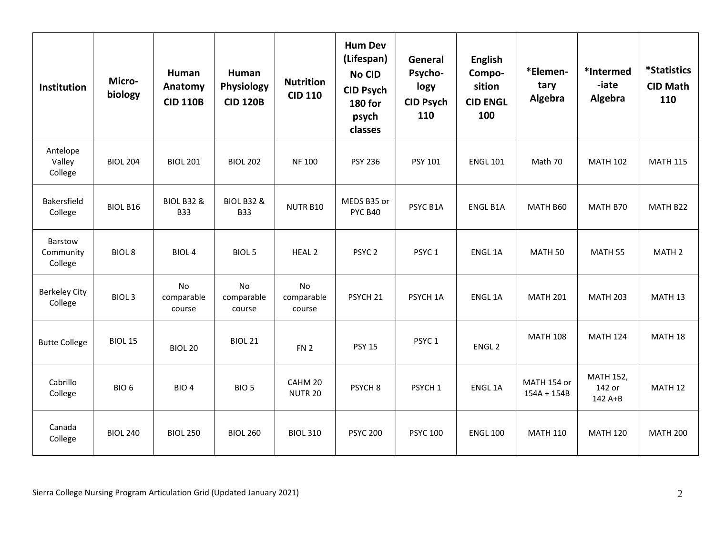| <b>Institution</b>                     | Micro-<br>biology | Human<br>Anatomy<br><b>CID 110B</b> | Human<br>Physiology<br><b>CID 120B</b> | <b>Nutrition</b><br><b>CID 110</b> | <b>Hum Dev</b><br>(Lifespan)<br><b>No CID</b><br><b>CID Psych</b><br><b>180 for</b><br>psych<br>classes | General<br>Psycho-<br>logy<br><b>CID Psych</b><br>110 | <b>English</b><br>Compo-<br>sition<br><b>CID ENGL</b><br>100 | *Elemen-<br>tary<br>Algebra  | *Intermed<br>-iate<br>Algebra         | <i><b>*Statistics</b></i><br><b>CID Math</b><br>110 |
|----------------------------------------|-------------------|-------------------------------------|----------------------------------------|------------------------------------|---------------------------------------------------------------------------------------------------------|-------------------------------------------------------|--------------------------------------------------------------|------------------------------|---------------------------------------|-----------------------------------------------------|
| Antelope<br>Valley<br>College          | <b>BIOL 204</b>   | <b>BIOL 201</b>                     | <b>BIOL 202</b>                        | <b>NF100</b>                       | <b>PSY 236</b>                                                                                          | PSY 101                                               | <b>ENGL 101</b>                                              | Math 70                      | <b>MATH 102</b>                       | <b>MATH 115</b>                                     |
| Bakersfield<br>College                 | BIOL B16          | <b>BIOL B32 &amp;</b><br><b>B33</b> | <b>BIOL B32 &amp;</b><br><b>B33</b>    | NUTR B10                           | MEDS B35 or<br><b>PYC B40</b>                                                                           | PSYC B1A                                              | <b>ENGL B1A</b>                                              | MATH B60                     | MATH B70                              | MATH B22                                            |
| <b>Barstow</b><br>Community<br>College | <b>BIOL 8</b>     | <b>BIOL4</b>                        | <b>BIOL 5</b>                          | <b>HEAL 2</b>                      | PSYC <sub>2</sub>                                                                                       | PSYC <sub>1</sub>                                     | ENGL 1A                                                      | MATH <sub>50</sub>           | MATH 55                               | MATH <sub>2</sub>                                   |
| <b>Berkeley City</b><br>College        | <b>BIOL 3</b>     | No<br>comparable<br>course          | No<br>comparable<br>course             | No<br>comparable<br>course         | PSYCH <sub>21</sub>                                                                                     | PSYCH 1A                                              | ENGL 1A                                                      | <b>MATH 201</b>              | <b>MATH 203</b>                       | MATH <sub>13</sub>                                  |
| <b>Butte College</b>                   | <b>BIOL 15</b>    | <b>BIOL 20</b>                      | <b>BIOL 21</b>                         | FN <sub>2</sub>                    | <b>PSY 15</b>                                                                                           | PSYC <sub>1</sub>                                     | ENGL <sub>2</sub>                                            | <b>MATH 108</b>              | <b>MATH 124</b>                       | MATH 18                                             |
| Cabrillo<br>College                    | BIO <sub>6</sub>  | BIO <sub>4</sub>                    | BIO <sub>5</sub>                       | CAHM 20<br><b>NUTR 20</b>          | PSYCH <sub>8</sub>                                                                                      | PSYCH <sub>1</sub>                                    | ENGL 1A                                                      | MATH 154 or<br>$154A + 154B$ | <b>MATH 152,</b><br>142 or<br>142 A+B | MATH <sub>12</sub>                                  |
| Canada<br>College                      | <b>BIOL 240</b>   | <b>BIOL 250</b>                     | <b>BIOL 260</b>                        | <b>BIOL 310</b>                    | <b>PSYC 200</b>                                                                                         | <b>PSYC 100</b>                                       | <b>ENGL 100</b>                                              | <b>MATH 110</b>              | <b>MATH 120</b>                       | <b>MATH 200</b>                                     |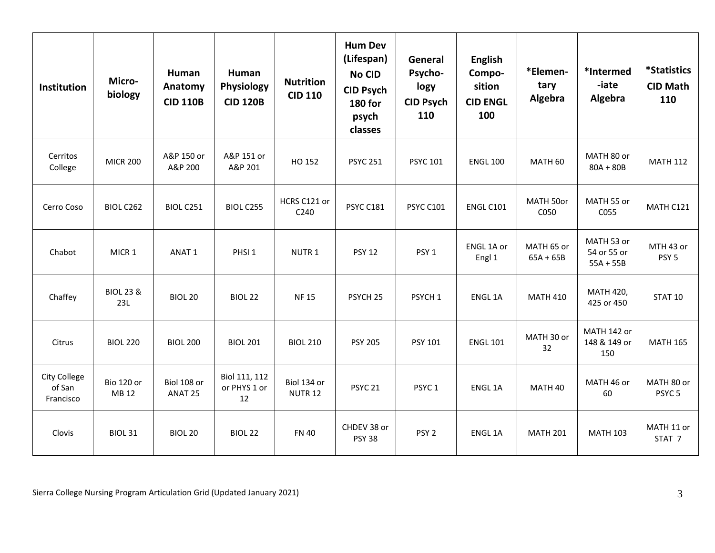| <b>Institution</b>                  | Micro-<br>biology           | Human<br>Anatomy<br><b>CID 110B</b> | Human<br>Physiology<br><b>CID 120B</b> | <b>Nutrition</b><br><b>CID 110</b> | <b>Hum Dev</b><br>(Lifespan)<br><b>No CID</b><br><b>CID Psych</b><br><b>180 for</b><br>psych<br>classes | General<br>Psycho-<br>logy<br><b>CID Psych</b><br>110 | <b>English</b><br>Compo-<br>sition<br><b>CID ENGL</b><br>100 | *Elemen-<br>tary<br>Algebra | *Intermed<br>-iate<br>Algebra            | <i><b>*Statistics</b></i><br><b>CID Math</b><br>110 |
|-------------------------------------|-----------------------------|-------------------------------------|----------------------------------------|------------------------------------|---------------------------------------------------------------------------------------------------------|-------------------------------------------------------|--------------------------------------------------------------|-----------------------------|------------------------------------------|-----------------------------------------------------|
| Cerritos<br>College                 | <b>MICR 200</b>             | A&P 150 or<br>A&P 200               | A&P 151 or<br>A&P 201                  | HO 152                             | <b>PSYC 251</b>                                                                                         | <b>PSYC 101</b>                                       | <b>ENGL 100</b>                                              | MATH 60                     | MATH 80 or<br>$80A + 80B$                | <b>MATH 112</b>                                     |
| Cerro Coso                          | BIOL C262                   | BIOL C251                           | BIOL C255                              | HCRS C121 or<br>C240               | PSYC C181                                                                                               | <b>PSYC C101</b>                                      | <b>ENGL C101</b>                                             | MATH 50or<br>C050           | MATH 55 or<br>C055                       | MATH C121                                           |
| Chabot                              | MICR 1                      | ANAT <sub>1</sub>                   | PHSI <sub>1</sub>                      | NUTR <sub>1</sub>                  | <b>PSY 12</b>                                                                                           | PSY <sub>1</sub>                                      | ENGL 1A or<br>Engl 1                                         | MATH 65 or<br>$65A + 65B$   | MATH 53 or<br>54 or 55 or<br>$55A + 55B$ | MTH 43 or<br>PSY <sub>5</sub>                       |
| Chaffey                             | <b>BIOL 23 &amp;</b><br>23L | <b>BIOL 20</b>                      | <b>BIOL 22</b>                         | <b>NF15</b>                        | PSYCH <sub>25</sub>                                                                                     | PSYCH <sub>1</sub>                                    | ENGL 1A                                                      | <b>MATH 410</b>             | <b>MATH 420,</b><br>425 or 450           | <b>STAT 10</b>                                      |
| Citrus                              | <b>BIOL 220</b>             | <b>BIOL 200</b>                     | <b>BIOL 201</b>                        | <b>BIOL 210</b>                    | <b>PSY 205</b>                                                                                          | PSY 101                                               | <b>ENGL 101</b>                                              | MATH 30 or<br>32            | MATH 142 or<br>148 & 149 or<br>150       | <b>MATH 165</b>                                     |
| City College<br>of San<br>Francisco | <b>Bio 120 or</b><br>MB 12  | Biol 108 or<br>ANAT <sub>25</sub>   | Biol 111, 112<br>or PHYS 1 or<br>12    | Biol 134 or<br><b>NUTR 12</b>      | PSYC <sub>21</sub>                                                                                      | PSYC <sub>1</sub>                                     | ENGL 1A                                                      | MATH 40                     | MATH 46 or<br>60                         | MATH 80 or<br>PSYC <sub>5</sub>                     |
| Clovis                              | <b>BIOL 31</b>              | <b>BIOL 20</b>                      | <b>BIOL 22</b>                         | <b>FN 40</b>                       | CHDEV 38 or<br><b>PSY 38</b>                                                                            | PSY <sub>2</sub>                                      | <b>ENGL 1A</b>                                               | <b>MATH 201</b>             | <b>MATH 103</b>                          | MATH 11 or<br>STAT <sub>7</sub>                     |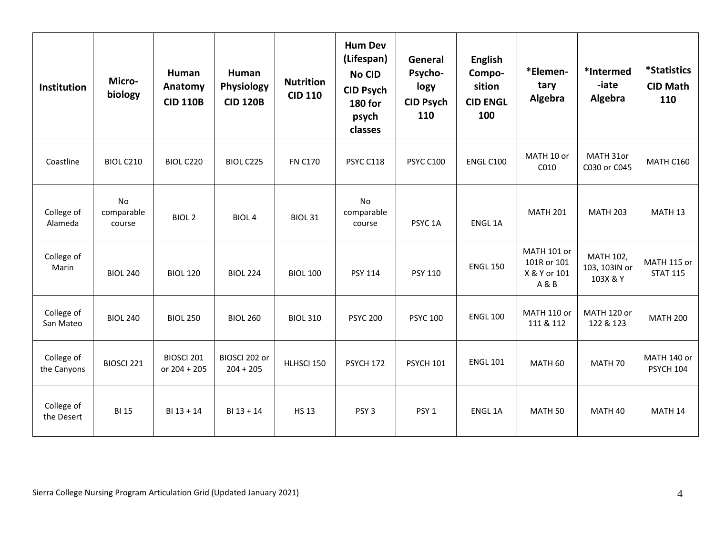| <b>Institution</b>        | Micro-<br>biology          | Human<br>Anatomy<br><b>CID 110B</b> | Human<br>Physiology<br><b>CID 120B</b> | <b>Nutrition</b><br><b>CID 110</b> | <b>Hum Dev</b><br>(Lifespan)<br><b>No CID</b><br><b>CID Psych</b><br><b>180 for</b><br>psych<br>classes | General<br>Psycho-<br>logy<br><b>CID Psych</b><br>110 | <b>English</b><br>Compo-<br>sition<br><b>CID ENGL</b><br>100 | *Elemen-<br>tary<br>Algebra                         | *Intermed<br>-iate<br>Algebra          | <i><b>*Statistics</b></i><br><b>CID Math</b><br>110 |
|---------------------------|----------------------------|-------------------------------------|----------------------------------------|------------------------------------|---------------------------------------------------------------------------------------------------------|-------------------------------------------------------|--------------------------------------------------------------|-----------------------------------------------------|----------------------------------------|-----------------------------------------------------|
| Coastline                 | BIOL C210                  | BIOL C220                           | BIOL C225                              | <b>FN C170</b>                     | PSYC C118                                                                                               | <b>PSYC C100</b>                                      | ENGL C100                                                    | MATH 10 or<br>C010                                  | MATH 31or<br>C030 or C045              | <b>MATH C160</b>                                    |
| College of<br>Alameda     | No<br>comparable<br>course | <b>BIOL 2</b>                       | BIOL <sub>4</sub>                      | <b>BIOL 31</b>                     | No<br>comparable<br>course                                                                              | PSYC <sub>1</sub> A                                   | ENGL 1A                                                      | <b>MATH 201</b>                                     | <b>MATH 203</b>                        | MATH <sub>13</sub>                                  |
| College of<br>Marin       | <b>BIOL 240</b>            | <b>BIOL 120</b>                     | <b>BIOL 224</b>                        | <b>BIOL 100</b>                    | PSY 114                                                                                                 | <b>PSY 110</b>                                        | <b>ENGL 150</b>                                              | MATH 101 or<br>101R or 101<br>X & Y or 101<br>A & B | MATH 102,<br>103, 103IN or<br>103X & Y | MATH 115 or<br><b>STAT 115</b>                      |
| College of<br>San Mateo   | <b>BIOL 240</b>            | <b>BIOL 250</b>                     | <b>BIOL 260</b>                        | <b>BIOL 310</b>                    | <b>PSYC 200</b>                                                                                         | <b>PSYC 100</b>                                       | <b>ENGL 100</b>                                              | MATH 110 or<br>111 & 112                            | MATH 120 or<br>122 & 123               | <b>MATH 200</b>                                     |
| College of<br>the Canyons | BIOSCI 221                 | BIOSCI 201<br>or 204 + 205          | BIOSCI 202 or<br>$204 + 205$           | HLHSCI 150                         | PSYCH 172                                                                                               | <b>PSYCH 101</b>                                      | <b>ENGL 101</b>                                              | MATH <sub>60</sub>                                  | MATH 70                                | MATH 140 or<br><b>PSYCH 104</b>                     |
| College of<br>the Desert  | <b>BI 15</b>               | $BI 13 + 14$                        | $BI 13 + 14$                           | <b>HS 13</b>                       | PSY <sub>3</sub>                                                                                        | PSY <sub>1</sub>                                      | ENGL 1A                                                      | MATH <sub>50</sub>                                  | MATH 40                                | MATH <sub>14</sub>                                  |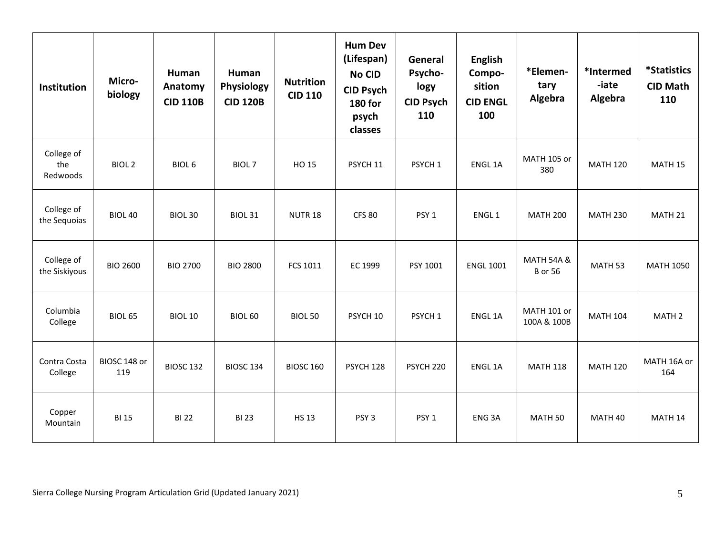| <b>Institution</b>            | Micro-<br>biology   | Human<br>Anatomy<br><b>CID 110B</b> | Human<br>Physiology<br><b>CID 120B</b> | <b>Nutrition</b><br><b>CID 110</b> | <b>Hum Dev</b><br>(Lifespan)<br><b>No CID</b><br><b>CID Psych</b><br><b>180 for</b><br>psych<br>classes | General<br>Psycho-<br>logy<br><b>CID Psych</b><br>110 | <b>English</b><br>Compo-<br>sition<br><b>CID ENGL</b><br>100 | *Elemen-<br>tary<br>Algebra             | *Intermed<br>-iate<br>Algebra | <i><b>*Statistics</b></i><br><b>CID Math</b><br>110 |
|-------------------------------|---------------------|-------------------------------------|----------------------------------------|------------------------------------|---------------------------------------------------------------------------------------------------------|-------------------------------------------------------|--------------------------------------------------------------|-----------------------------------------|-------------------------------|-----------------------------------------------------|
| College of<br>the<br>Redwoods | <b>BIOL 2</b>       | BIOL <sub>6</sub>                   | BIOL <sub>7</sub>                      | HO 15                              | PSYCH 11                                                                                                | PSYCH <sub>1</sub>                                    | ENGL 1A                                                      | MATH 105 or<br>380                      | <b>MATH 120</b>               | MATH <sub>15</sub>                                  |
| College of<br>the Sequoias    | BIOL 40             | <b>BIOL 30</b>                      | <b>BIOL 31</b>                         | NUTR <sub>18</sub>                 | <b>CFS 80</b>                                                                                           | PSY <sub>1</sub>                                      | ENGL <sub>1</sub>                                            | <b>MATH 200</b>                         | <b>MATH 230</b>               | MATH 21                                             |
| College of<br>the Siskiyous   | <b>BIO 2600</b>     | <b>BIO 2700</b>                     | <b>BIO 2800</b>                        | <b>FCS 1011</b>                    | EC 1999                                                                                                 | PSY 1001                                              | <b>ENGL 1001</b>                                             | <b>MATH 54A &amp;</b><br><b>B</b> or 56 | MATH <sub>53</sub>            | <b>MATH 1050</b>                                    |
| Columbia<br>College           | <b>BIOL 65</b>      | <b>BIOL 10</b>                      | <b>BIOL 60</b>                         | <b>BIOL 50</b>                     | PSYCH 10                                                                                                | PSYCH <sub>1</sub>                                    | <b>ENGL 1A</b>                                               | MATH 101 or<br>100A & 100B              | <b>MATH 104</b>               | MATH <sub>2</sub>                                   |
| Contra Costa<br>College       | BIOSC 148 or<br>119 | <b>BIOSC 132</b>                    | <b>BIOSC 134</b>                       | <b>BIOSC 160</b>                   | PSYCH 128                                                                                               | PSYCH <sub>220</sub>                                  | <b>ENGL 1A</b>                                               | <b>MATH 118</b>                         | <b>MATH 120</b>               | MATH 16A or<br>164                                  |
| Copper<br>Mountain            | <b>BI 15</b>        | <b>BI22</b>                         | <b>BI23</b>                            | <b>HS 13</b>                       | PSY <sub>3</sub>                                                                                        | PSY <sub>1</sub>                                      | ENG <sub>3</sub> A                                           | MATH <sub>50</sub>                      | MATH 40                       | MATH <sub>14</sub>                                  |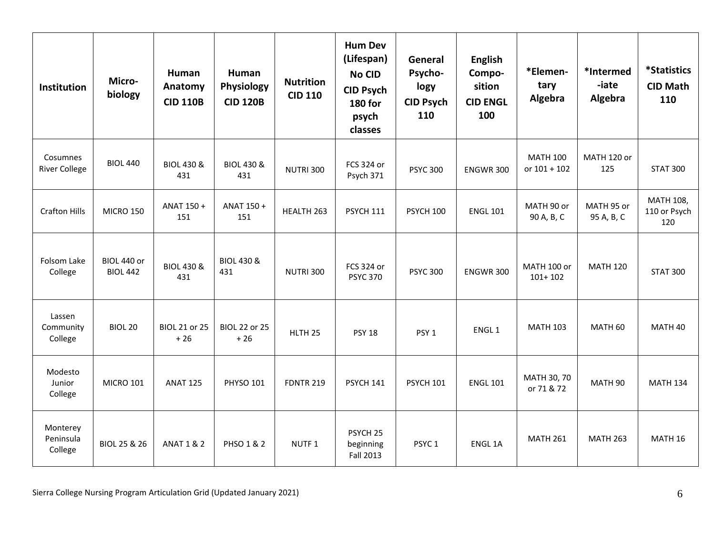| <b>Institution</b>               | Micro-<br>biology              | Human<br>Anatomy<br><b>CID 110B</b> | Human<br>Physiology<br><b>CID 120B</b> | <b>Nutrition</b><br><b>CID 110</b> | <b>Hum Dev</b><br>(Lifespan)<br><b>No CID</b><br><b>CID Psych</b><br><b>180 for</b><br>psych<br>classes | General<br>Psycho-<br>logy<br><b>CID Psych</b><br>110 | <b>English</b><br>Compo-<br>sition<br><b>CID ENGL</b><br>100 | *Elemen-<br>tary<br>Algebra       | *Intermed<br>-iate<br>Algebra | <i><b>*Statistics</b></i><br><b>CID Math</b><br>110 |
|----------------------------------|--------------------------------|-------------------------------------|----------------------------------------|------------------------------------|---------------------------------------------------------------------------------------------------------|-------------------------------------------------------|--------------------------------------------------------------|-----------------------------------|-------------------------------|-----------------------------------------------------|
| Cosumnes<br><b>River College</b> | <b>BIOL 440</b>                | <b>BIOL 430 &amp;</b><br>431        | <b>BIOL 430 &amp;</b><br>431           | <b>NUTRI 300</b>                   | FCS 324 or<br>Psych 371                                                                                 | <b>PSYC 300</b>                                       | <b>ENGWR 300</b>                                             | <b>MATH 100</b><br>or $101 + 102$ | MATH 120 or<br>125            | <b>STAT 300</b>                                     |
| <b>Crafton Hills</b>             | <b>MICRO 150</b>               | ANAT 150+<br>151                    | ANAT 150 +<br>151                      | HEALTH 263                         | <b>PSYCH 111</b>                                                                                        | <b>PSYCH 100</b>                                      | <b>ENGL 101</b>                                              | MATH 90 or<br>90 A, B, C          | MATH 95 or<br>95 A, B, C      | MATH 108,<br>110 or Psych<br>120                    |
| Folsom Lake<br>College           | BIOL 440 or<br><b>BIOL 442</b> | <b>BIOL 430 &amp;</b><br>431        | <b>BIOL 430 &amp;</b><br>431           | <b>NUTRI 300</b>                   | FCS 324 or<br><b>PSYC 370</b>                                                                           | <b>PSYC 300</b>                                       | <b>ENGWR 300</b>                                             | MATH 100 or<br>$101 + 102$        | <b>MATH 120</b>               | <b>STAT 300</b>                                     |
| Lassen<br>Community<br>College   | <b>BIOL 20</b>                 | <b>BIOL 21 or 25</b><br>$+26$       | <b>BIOL 22 or 25</b><br>$+26$          | HLTH <sub>25</sub>                 | <b>PSY 18</b>                                                                                           | PSY <sub>1</sub>                                      | ENGL <sub>1</sub>                                            | <b>MATH 103</b>                   | MATH 60                       | MATH 40                                             |
| Modesto<br>Junior<br>College     | <b>MICRO 101</b>               | <b>ANAT 125</b>                     | <b>PHYSO 101</b>                       | <b>FDNTR 219</b>                   | PSYCH 141                                                                                               | <b>PSYCH 101</b>                                      | <b>ENGL 101</b>                                              | MATH 30, 70<br>or 71 & 72         | MATH <sub>90</sub>            | <b>MATH 134</b>                                     |
| Monterey<br>Peninsula<br>College | BIOL 25 & 26                   | <b>ANAT 1 &amp; 2</b>               | PHSO 1 & 2                             | NUTF <sub>1</sub>                  | PSYCH <sub>25</sub><br>beginning<br><b>Fall 2013</b>                                                    | PSYC <sub>1</sub>                                     | <b>ENGL 1A</b>                                               | <b>MATH 261</b>                   | <b>MATH 263</b>               | MATH 16                                             |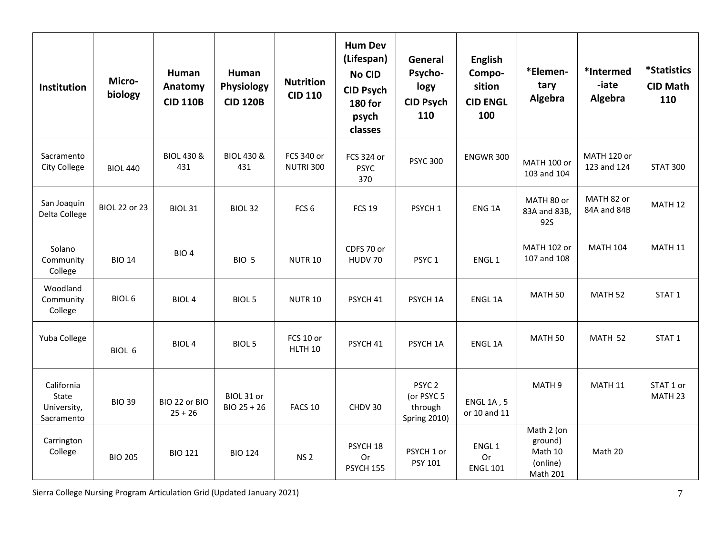| <b>Institution</b>                               | Micro-<br>biology    | Human<br>Anatomy<br><b>CID 110B</b> | Human<br>Physiology<br><b>CID 120B</b> | <b>Nutrition</b><br><b>CID 110</b> | <b>Hum Dev</b><br>(Lifespan)<br>No CID<br><b>CID Psych</b><br><b>180 for</b><br>psych<br>classes | General<br>Psycho-<br>logy<br><b>CID Psych</b><br>110             | <b>English</b><br>Compo-<br>sition<br><b>CID ENGL</b><br>100 | *Elemen-<br>tary<br>Algebra                                     | *Intermed<br>-iate<br>Algebra | <i><b>*Statistics</b></i><br><b>CID Math</b><br>110 |
|--------------------------------------------------|----------------------|-------------------------------------|----------------------------------------|------------------------------------|--------------------------------------------------------------------------------------------------|-------------------------------------------------------------------|--------------------------------------------------------------|-----------------------------------------------------------------|-------------------------------|-----------------------------------------------------|
| Sacramento<br><b>City College</b>                | <b>BIOL 440</b>      | <b>BIOL 430 &amp;</b><br>431        | <b>BIOL 430 &amp;</b><br>431           | FCS 340 or<br><b>NUTRI 300</b>     | FCS 324 or<br><b>PSYC</b><br>370                                                                 | <b>PSYC 300</b>                                                   | <b>ENGWR 300</b>                                             | MATH 100 or<br>103 and 104                                      | MATH 120 or<br>123 and 124    | <b>STAT 300</b>                                     |
| San Joaquin<br>Delta College                     | <b>BIOL 22 or 23</b> | <b>BIOL 31</b>                      | BIOL <sub>32</sub>                     | FCS <sub>6</sub>                   | <b>FCS 19</b>                                                                                    | PSYCH <sub>1</sub>                                                | ENG <sub>1</sub> A                                           | MATH 80 or<br>83A and 83B,<br><b>92S</b>                        | MATH 82 or<br>84A and 84B     | MATH <sub>12</sub>                                  |
| Solano<br>Community<br>College                   | <b>BIO 14</b>        | BIO <sub>4</sub>                    | BIO <sub>5</sub>                       | <b>NUTR 10</b>                     | CDFS 70 or<br>HUDV 70                                                                            | PSYC <sub>1</sub>                                                 | ENGL <sub>1</sub>                                            | <b>MATH 102 or</b><br>107 and 108                               | <b>MATH 104</b>               | <b>MATH 11</b>                                      |
| Woodland<br>Community<br>College                 | <b>BIOL 6</b>        | <b>BIOL4</b>                        | <b>BIOL 5</b>                          | <b>NUTR 10</b>                     | PSYCH 41                                                                                         | PSYCH 1A                                                          | ENGL 1A                                                      | MATH <sub>50</sub>                                              | MATH <sub>52</sub>            | STAT <sub>1</sub>                                   |
| Yuba College                                     | BIOL 6               | <b>BIOL4</b>                        | <b>BIOL 5</b>                          | FCS 10 or<br>HLTH 10               | PSYCH <sub>41</sub>                                                                              | PSYCH 1A                                                          | <b>ENGL 1A</b>                                               | MATH <sub>50</sub>                                              | MATH 52                       | STAT <sub>1</sub>                                   |
| California<br>State<br>University,<br>Sacramento | <b>BIO 39</b>        | BIO 22 or BIO<br>$25 + 26$          | BIOL 31 or<br>BIO 25 + 26              | FACS <sub>10</sub>                 | CHDV 30                                                                                          | PSYC <sub>2</sub><br>(or PSYC 5<br>through<br><b>Spring 2010)</b> | <b>ENGL 1A, 5</b><br>or 10 and 11                            | MATH <sub>9</sub>                                               | MATH 11                       | STAT 1 or<br>MATH <sub>23</sub>                     |
| Carrington<br>College                            | <b>BIO 205</b>       | <b>BIO 121</b>                      | <b>BIO 124</b>                         | <b>NS2</b>                         | PSYCH 18<br>Or<br>PSYCH 155                                                                      | PSYCH 1 or<br>PSY 101                                             | ENGL <sub>1</sub><br>Or<br><b>ENGL 101</b>                   | Math 2 (on<br>ground)<br>Math 10<br>(online)<br><b>Math 201</b> | Math 20                       |                                                     |

Sierra College Nursing Program Articulation Grid (Updated January 2021) **7** and the state of the state of the state of the state of the state of the state of the state of the state of the state of the state of the state of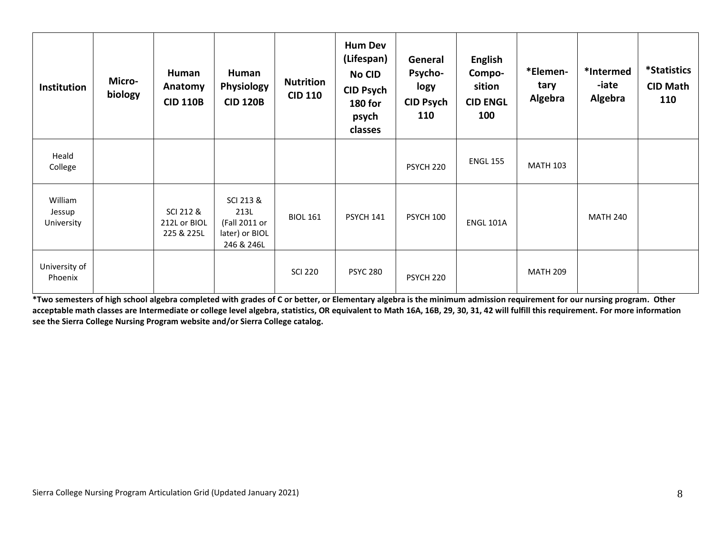| <b>Institution</b>              | Micro-<br>biology | Human<br>Anatomy<br><b>CID 110B</b>     | Human<br><b>Physiology</b><br><b>CID 120B</b>                      | <b>Nutrition</b><br><b>CID 110</b> | <b>Hum Dev</b><br>(Lifespan)<br><b>No CID</b><br><b>CID Psych</b><br><b>180 for</b><br>psych<br>classes | General<br>Psycho-<br>logy<br><b>CID Psych</b><br>110 | <b>English</b><br>Compo-<br>sition<br><b>CID ENGL</b><br>100 | *Elemen-<br>tary<br>Algebra | *Intermed<br>-iate<br>Algebra | <i><b>*Statistics</b></i><br><b>CID Math</b><br>110 |
|---------------------------------|-------------------|-----------------------------------------|--------------------------------------------------------------------|------------------------------------|---------------------------------------------------------------------------------------------------------|-------------------------------------------------------|--------------------------------------------------------------|-----------------------------|-------------------------------|-----------------------------------------------------|
| Heald<br>College                |                   |                                         |                                                                    |                                    |                                                                                                         | PSYCH 220                                             | <b>ENGL 155</b>                                              | <b>MATH 103</b>             |                               |                                                     |
| William<br>Jessup<br>University |                   | SCI 212 &<br>212L or BIOL<br>225 & 225L | SCI 213 &<br>213L<br>(Fall 2011 or<br>later) or BIOL<br>246 & 246L | <b>BIOL 161</b>                    | <b>PSYCH 141</b>                                                                                        | PSYCH 100                                             | <b>ENGL 101A</b>                                             |                             | <b>MATH 240</b>               |                                                     |
| University of<br>Phoenix        |                   |                                         |                                                                    | <b>SCI 220</b>                     | <b>PSYC 280</b>                                                                                         | PSYCH <sub>220</sub>                                  |                                                              | <b>MATH 209</b>             |                               |                                                     |

 **\*Two semesters of high school algebra completed with grades of C or better, or Elementary algebra is the minimum admission requirement for our nursing program. Other acceptable math classes are Intermediate or college level algebra, statistics, OR equivalent to Math 16A, 16B, 29, 30, 31, 42 will fulfill this requirement. For more information see the Sierra College Nursing Program website and/or Sierra College catalog.**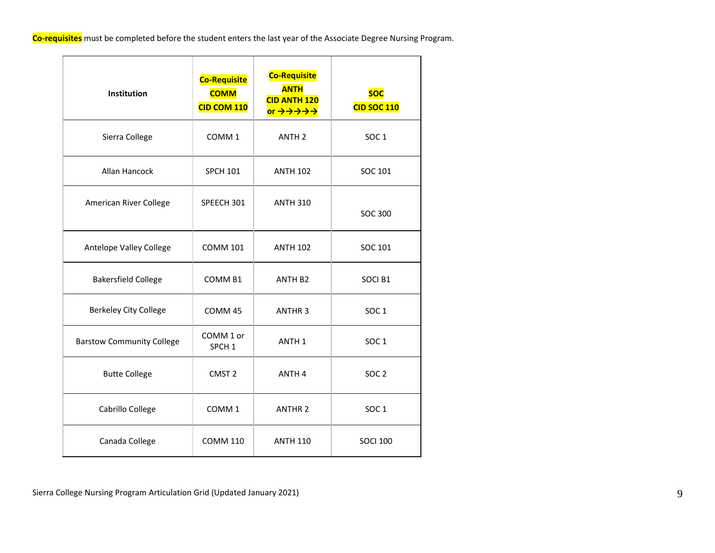<mark>Co-re</mark> **Co-requisites** must be completed before the student enters the last year of the Associate Degree Nursing Program.

| Institution                      | <b>Co-Requisite</b><br><b>COMM</b><br>CID COM 110 | <b>Co-Requisite</b><br><b>ANTH</b><br><b>CID ANTH 120</b><br>or $\rightarrow \rightarrow \rightarrow \rightarrow \rightarrow$ | <b>SOC</b><br><b>CID SOC 110</b> |
|----------------------------------|---------------------------------------------------|-------------------------------------------------------------------------------------------------------------------------------|----------------------------------|
| Sierra College                   | COMM <sub>1</sub>                                 | ANTH <sub>2</sub>                                                                                                             | SOC <sub>1</sub>                 |
| Allan Hancock                    | <b>SPCH 101</b>                                   | <b>ANTH 102</b>                                                                                                               | SOC 101                          |
| American River College           | SPEECH 301                                        | <b>ANTH 310</b>                                                                                                               | <b>SOC 300</b>                   |
| Antelope Valley College          | <b>COMM 101</b>                                   | <b>ANTH 102</b>                                                                                                               | SOC 101                          |
| <b>Bakersfield College</b>       | COMM <sub>B1</sub>                                | ANTH B <sub>2</sub>                                                                                                           | SOCI B1                          |
| <b>Berkeley City College</b>     | COMM 45                                           | <b>ANTHR3</b>                                                                                                                 | SOC <sub>1</sub>                 |
| <b>Barstow Community College</b> | COMM 1 or<br>SPCH <sub>1</sub>                    | ANTH <sub>1</sub>                                                                                                             | SOC <sub>1</sub>                 |
| <b>Butte College</b>             | CMST <sub>2</sub>                                 | ANTH <sub>4</sub>                                                                                                             | SOC <sub>2</sub>                 |
| Cabrillo College                 | COMM <sub>1</sub>                                 | <b>ANTHR 2</b>                                                                                                                | SOC <sub>1</sub>                 |
| Canada College                   | <b>COMM 110</b>                                   | <b>ANTH 110</b>                                                                                                               | <b>SOCI 100</b>                  |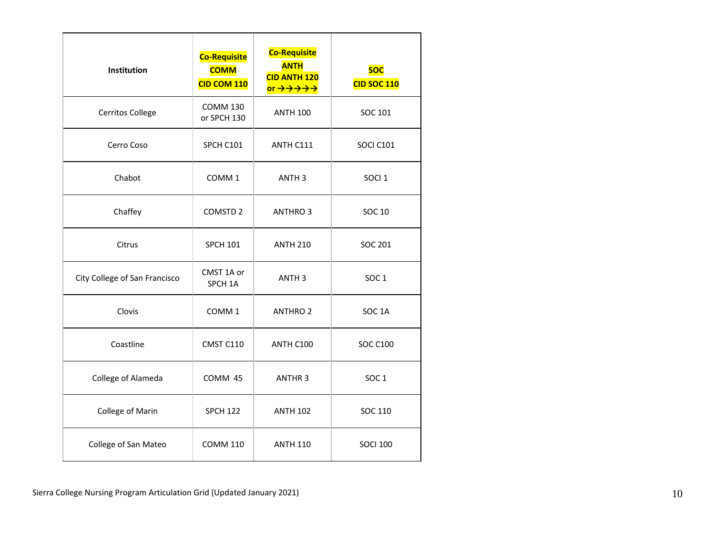| Institution                   | <b>Co-Requisite</b><br><b>COMM</b><br>CID COM 110 | <b>Co-Requisite</b><br><b>ANTH</b><br><b>CID ANTH 120</b><br>or $\rightarrow \rightarrow \rightarrow \rightarrow \rightarrow$ | <b>SOC</b><br><b>CID SOC 110</b> |
|-------------------------------|---------------------------------------------------|-------------------------------------------------------------------------------------------------------------------------------|----------------------------------|
| Cerritos College              | <b>COMM 130</b><br>or SPCH 130                    | <b>ANTH 100</b>                                                                                                               | SOC 101                          |
| Cerro Coso                    | SPCH C101                                         | ANTH C111                                                                                                                     | SOCI C101                        |
| Chabot                        | COMM <sub>1</sub>                                 | ANTH <sub>3</sub>                                                                                                             | SOCI <sub>1</sub>                |
| Chaffey                       | COMSTD <sub>2</sub>                               | <b>ANTHRO 3</b>                                                                                                               | SOC 10                           |
| Citrus                        | <b>SPCH 101</b>                                   | <b>ANTH 210</b>                                                                                                               | <b>SOC 201</b>                   |
| City College of San Francisco | CMST 1A or<br>SPCH <sub>1A</sub>                  | ANTH <sub>3</sub>                                                                                                             | SOC <sub>1</sub>                 |
| Clovis                        | COMM <sub>1</sub>                                 | <b>ANTHRO 2</b>                                                                                                               | SOC <sub>1</sub> A               |
| Coastline                     | CMST C110                                         | ANTH C100                                                                                                                     | <b>SOC C100</b>                  |
| College of Alameda            | COMM 45                                           | <b>ANTHR3</b>                                                                                                                 | SOC <sub>1</sub>                 |
| College of Marin              | <b>SPCH 122</b>                                   | <b>ANTH 102</b>                                                                                                               | SOC 110                          |
| College of San Mateo          | <b>COMM 110</b>                                   | <b>ANTH 110</b>                                                                                                               | <b>SOCI 100</b>                  |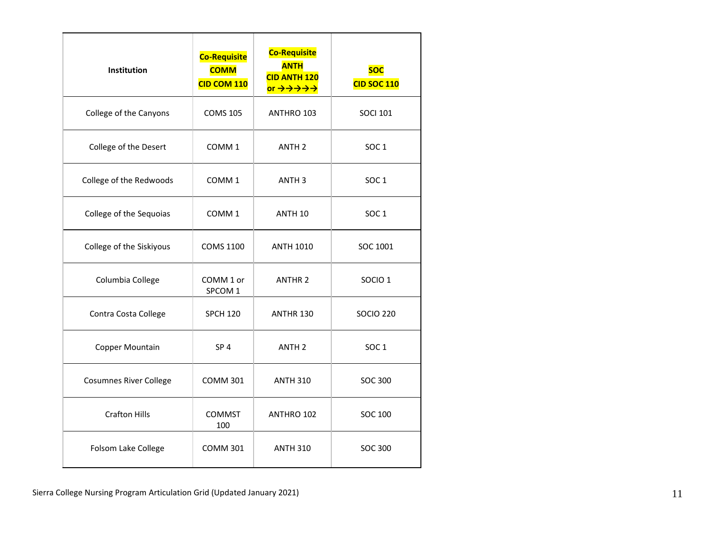| <b>Institution</b>            | <b>Co-Requisite</b><br><b>COMM</b><br>CID COM 110 | <b>Co-Requisite</b><br><b>ANTH</b><br><b>CID ANTH 120</b><br>or $\rightarrow \rightarrow \rightarrow \rightarrow \rightarrow$ | <b>SOC</b><br><b>CID SOC 110</b> |
|-------------------------------|---------------------------------------------------|-------------------------------------------------------------------------------------------------------------------------------|----------------------------------|
| College of the Canyons        | <b>COMS 105</b>                                   | ANTHRO 103                                                                                                                    | <b>SOCI 101</b>                  |
| College of the Desert         | COMM <sub>1</sub>                                 | ANTH <sub>2</sub>                                                                                                             | <b>SOC1</b>                      |
| College of the Redwoods       | COMM <sub>1</sub>                                 | ANTH <sub>3</sub>                                                                                                             | <b>SOC1</b>                      |
| College of the Sequoias       | COMM <sub>1</sub>                                 | ANTH <sub>10</sub>                                                                                                            | SOC <sub>1</sub>                 |
| College of the Siskiyous      | <b>COMS 1100</b>                                  | <b>ANTH 1010</b>                                                                                                              | SOC 1001                         |
| Columbia College              | COMM 1 or<br>SPCOM 1                              | <b>ANTHR 2</b>                                                                                                                | SOCIO <sub>1</sub>               |
| Contra Costa College          | <b>SPCH 120</b>                                   | <b>ANTHR 130</b>                                                                                                              | <b>SOCIO 220</b>                 |
| Copper Mountain               | SP <sub>4</sub>                                   | ANTH <sub>2</sub>                                                                                                             | SOC <sub>1</sub>                 |
| <b>Cosumnes River College</b> | <b>COMM 301</b>                                   | <b>ANTH 310</b>                                                                                                               | <b>SOC 300</b>                   |
| <b>Crafton Hills</b>          | <b>COMMST</b><br>100                              | ANTHRO 102                                                                                                                    | <b>SOC 100</b>                   |
| Folsom Lake College           | <b>COMM 301</b>                                   | <b>ANTH 310</b>                                                                                                               | <b>SOC 300</b>                   |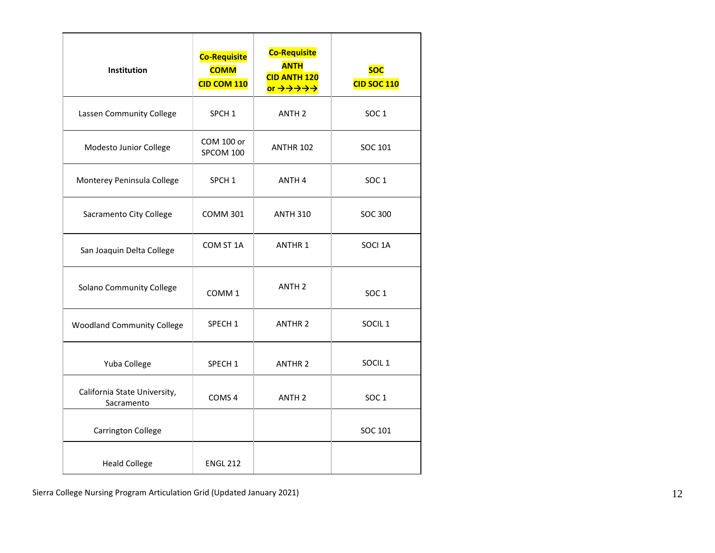| <b>Institution</b>                         | <b>Co-Requisite</b><br><b>COMM</b><br>CID COM 110 | <b>Co-Requisite</b><br><b>ANTH</b><br><b>CID ANTH 120</b><br>or $\rightarrow \rightarrow \rightarrow \rightarrow \rightarrow$ | <b>SOC</b><br><b>CID SOC 110</b> |
|--------------------------------------------|---------------------------------------------------|-------------------------------------------------------------------------------------------------------------------------------|----------------------------------|
| Lassen Community College                   | SPCH <sub>1</sub>                                 | ANTH <sub>2</sub>                                                                                                             | <b>SOC1</b>                      |
| Modesto Junior College                     | COM 100 or<br>SPCOM 100                           | <b>ANTHR 102</b>                                                                                                              | SOC 101                          |
| Monterey Peninsula College                 | SPCH <sub>1</sub>                                 | ANTH <sub>4</sub>                                                                                                             | SOC <sub>1</sub>                 |
| Sacramento City College                    | <b>COMM 301</b>                                   | <b>ANTH 310</b>                                                                                                               | <b>SOC 300</b>                   |
| San Joaquin Delta College                  | COM ST 1A                                         | <b>ANTHR 1</b>                                                                                                                | SOCI 1A                          |
| Solano Community College                   | COMM <sub>1</sub>                                 | ANTH <sub>2</sub>                                                                                                             | SOC <sub>1</sub>                 |
| <b>Woodland Community College</b>          | SPECH <sub>1</sub>                                | <b>ANTHR 2</b>                                                                                                                | SOCIL <sub>1</sub>               |
| Yuba College                               | SPECH <sub>1</sub>                                | <b>ANTHR 2</b>                                                                                                                | SOCIL <sub>1</sub>               |
| California State University,<br>Sacramento | COMS <sub>4</sub>                                 | ANTH <sub>2</sub>                                                                                                             | SOC <sub>1</sub>                 |
| <b>Carrington College</b>                  |                                                   |                                                                                                                               | SOC 101                          |
| <b>Heald College</b>                       | <b>ENGL 212</b>                                   |                                                                                                                               |                                  |

Sierra College Nursing Program Articulation Grid (Updated January 2021) 12